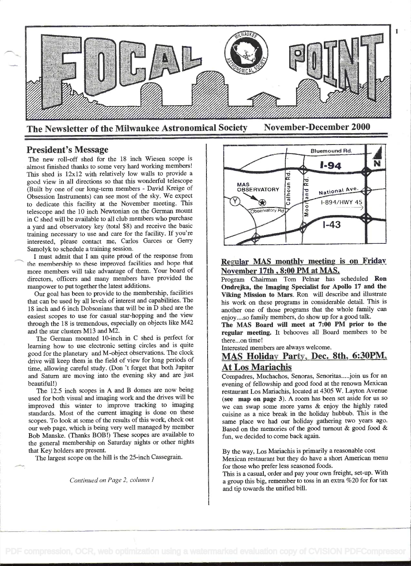

President's Message

The new roll-off shed for the 18 inch Wiesen scope is almost finished thanks to some very hard working members! This shed is 12x12 with relatively low walls to provide a good view in all directions so that this wonderful telescope (Built by one of our long-term members - David Kreige of Obsession Instruments) can see most of the sky. We expect to dedicate this facility at the November meeting. This telescope and the 10 inch Newtonian on the German mount in C shed will be available to all club members who purchase a yard and observatory key (total \$8) and receive the basic training necessary to use and care for the facility. If you're interested, please contact me, Carlos Garces or Gerry Samolyk to schedule a training session.

I must admit that I am quite proud of the response from the membership to these improved facilities and hope that more members will take advantage of them. Your board of directors, officers and many members have provided the manpower to put together the latest additions.

Our goal has been to provide to the membership, facilities that can be used by all levels of interest and capabilities. The 18 inch and 6 inch Dobsonians that will be in  $\bar{D}$  shed are the easiest scopes to use for casual star-hopping and the view through the 18 is tremendous, especially on objects like M42 and the star clusters M13 and M2.

The German mounted 10-inch in C shed is perfect for learning how to use electronic setting circles and is quite good for the planetary and M-object observations. The clock drive will keep them in the field of view for long periods of time, allowing careful study. (Don 't forget that both Jupiter and Saturn are moving into the evening sky and are just beautiful!)

The 12.5 inch scopes in A and B domes are now being used for both visual and imaging work and the drives will be improved this winter to improve tracking to imaging standards. Most of the current imaging is done on these scopes. To look at some of the results of this work, check out our web page, which is being very well managed by member Bob Manske. (Thanks BOB !) These scopes are available to the general membership on Saturday nights or other nights that Key holders are present.

The largest scope on the hill is the 25-inch Cassegrain.

Continued on Page 2, column I



## Regular MAS monthly meeting is on Friday November 17th , 8:00 PM at MAS.

Program Chairman Tom Peinar has scheduled Ron Ondrejka, the Imaging Specialist for Apollo 17 and the Viking Mission to Mars. Ron will describe and illustrate his work on these programs in considerable detail. This is another one of those programs that the whole family can enjoy. . ..so family members, do show up for a good talk.

The MAS Board will meet at 7:00 PM prior to the regular meeting. It behooves all Board members to be there...on time!

Interested members are always welcome.

# MAS Holiday Party. Dec. 8th. 6:30PM. At Los Mariachis

Compadres, Muchachos, Senoras, Senoritas ..... join us for an evening of fellowship and good food at the renown Mexican restaurant Los Mariachis, located at 4305 W. Layton Avenue (see map on page 3). A room has been set aside for us so we can swap some more yarns & enjoy the highly rated cuisine as a nice break in the holiday hubbub. This is the same place we had our holiday gathering two years ago. Based on the memories of the good turnout & good food & fun, we decided to come back again.

By the way, Los Mariachis is primarily a reasonable cost Mexican restaurant but they do have a short American menu for those who prefer less seasoned foods.

This is a casual, order and pay your own freight, set-up. With a group this big, remember to toss in an extra %20 for for tax and tip towards the unified bill.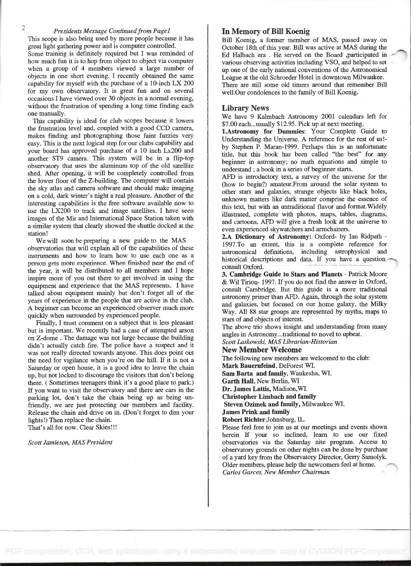## Presidents Message Continued from Page1

This scope is also being used by more people because it has great light gathering power and is computer controlled.

Some training is defmitely required but I was reminded of how much fun it is to hop from object to object via computer when a group of 4 members viewed a large number of objects in one short evening. I recently obtained the same capability for myself with the purchase of a 10-inch LX 200 for my own observatory. It is great fun and on several occasions I have viewed over 30 objects in a normal evening, without the frustration of spending a long time finding each one manually.

This capability is ideal for club scopes because it lowers the frustration level and, coupled with a good CCD camera, makes finding and photographing those faint fuzzies very easy. This is the next logical step for our clubs capability and your board has approved purchase of a 10 inch LX200 and another ST9 camera. This system will be in a flip-top observatory that uses the aluminum top of the old satellite shed. After opening, it will be completely controlled from the lower floor of the Z-building. The computer will contain the sky atlas and camera software and should make imaging on a cold, dark winter's night a real pleasure. Another of the interesting capabilities is the free software available now to use the LX200 to track and image satellites. I have seen images of the Mir and International Space Station taken with a similar system that clearly showed the shuttle docked at the station!

We will soon be preparing a new guide to the MAS observatories that will explain all of the capabilities of these instruments and how to learn how to use each one as a person gets mOre experience. When finished near the end of the year, it will be distributed to all members and I hope inspire more of you out there to get involved in using the equipment and experience that the MAS represents. I have talked about equipment mainly but don't forget all of the years of experience in the people that are active in the club. A beginner can become an experienced observer much more quickly when surrounded by experienced people.

Finally, I must comment on a subject that is less pleasant but is important. We recently had a case of attempted arson on Z-dome . The damage was not large because the building didn't actually catch fire. The police have a suspect and it was not really directed towards anyone. This does point out the need for vigilance when you're on the hill. If it is not a Saturday or open house, it is a good idea to leave the chain up, but not locked to discourage the visitors that don't belong there. ( Sometimes teenagers think it's a good place to park.) If you want to visit the observatory and there are cars in the parking lot, don't take the chain being up as being un friendly, we are just protecting our members and facility. Release the chain and drive on in. (Don't forget to dim your lights!) Then replace the chain.

That's all for now. Clear Skies!!!

Scott Jamieson, MAS President

## In Memory of Bill Koenig

Bill Koenig, a former member of MAS, passed away on October 18th of this year. Bill was active at MAS during the Ed Halbach era . He served on the Board ,participated in various observing activities including VSO, and helped to set up one of the early national conventions of the Astronomical League at the old Schroeder Hotel in downtown Milwaukee. There are still some old timers around that remember Bill well.Our condolences to the family of Bill Koenig.

#### Library News

We have 9 Kalmbach Astronomy 2001 calendars left for \$7.00 each...usually \$12.95. Pick up at next meeting.

1.Astronomy for Dummies: Your Complete Guide to Understanding the Universe. A reference for the rest of us! by Stephen P. Maran-1999. Perhaps this is an unfortunate title, but this book has been called "the best" for any beginner in astronomy; no math equations and simple to understand ; a book in a series of beginner starts.

AFD is introductory text, a survey of the universe for the (how to begin?) amateur.From around the solar system to other stars and galaxies, strange objects like black holes, unknown matters like dark matter comprise the essence of this text, but with an untraditional flavor and format.Widely illustrated, complete with photos, maps, tables, diagrams, and cartoons, AFD will give a fresh look at the universe to even experienced skywatchers and armchairers.

2.A Dictionary of Astronomy: Oxford- by Ian Ridpath - 1997.To an extent, this is a complete reference for astronomical definitions, including astrophysical and historical descriptions and data. If you have a question consult Oxford.

3. Cambridge Guide to Stars and Planets - Patrick Moore & Wil Tirion- 1997. if you do not fmd the answer in Oxford, consult Cambridge. But this guide is a more traditional astronomy primer than AFD. Again, through the solar system and galaxies, but focused on our home galaxy, the Milky Way. All 88 star groups are represented by myths, maps to stars of and objects of interest.

The above trio shows insight and understanding from many angles in Astronomy...traditional to novel to upbeat.

Scott Laskowski, MAS Librarian-Historian

New Member Welcome

The following new members are welcomed to the club: Mark Bauernfeind, DeForest WI.

Sam Barta and family, Waukesha, WI.

Garth Hall, New Berlin, WI

Dr. James Lattis, Madison,WI.

Christopher Limbach and family

Steven Ozimek and family, Milwaukee WI.

**James Prink and family** 

Robert Richter,Johnsburg, IL.

Please feel free to join us at our meetings and events shown herein If your so inclined, learn to use our fixed observatories via the Saturday nite program. Access to observatory grounds on other nights can be done by purchase of a yard key from the Observatory Director, Gerry Samolyk. Older members, please help the newcomers feel at home. Carlos Garces, New Member Chairman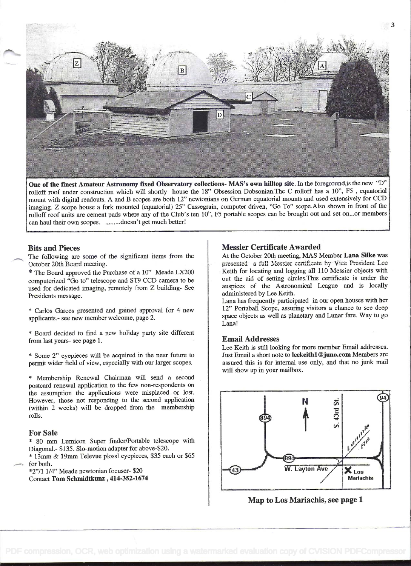

One of the fmest Amateur Astronomy fixed Observatory collections- MAS's own hilltop site. In the foreground,is the new "D" rolloff roof under construction which will shortly house the 18" Obsession Dobsonian.The C rolloff has a 10", F5 , equatorial mount with digital readouts. A and B scopes are both 12" newtonians on German equatorial mounts and used extensively for CCD imaging. Z scope house a fork mounted (equatorial) 25" Cassegrain, computer driven, "Go To" scope.Also shown in front of the rolloff roof units are cement pads where any of the Club's ten 10", F5 portable scopes can be brought out and set on...or members can haul their own scopes. .........doesn't get much better!

## Bits and Pieces

The following are some of the significant items from the October 20th Board meeting.

\* The Board approved the Purchase of a 10" Meade LX200 computerized "Go to" telescope and ST9 CCD camera to be used for dedicated imaging, remotely from Z building- See Presidents message.

\* Carlos Garces presented and gained approval for 4 new applicants,- see new member welcome, page 2.

\* Board decided to find a new holiday party site different from last years- see page 1.

\* Some 2" eyepieces will be acquired in the near future to permit wider field of view, especially with our larger scopes.

Membership Renewal Chairman will send a second postcard renewal application to the few non-respondents on the assumption the applications were misplaced or lost. However, those not responding to the second application (within 2 weeks) will be dropped from the membership rolls.

#### For Sale

\* 80 mm Lumicon Super finder/Portable telescope with Diagonal.- \$135. Slo-motion adapter for above-\$20.

\* 13mm & 19mm Televue plossl eyepieces, \$35 each or \$65 - for both.

\*2"/l 1/4" Meade newtonian focuser- \$20 Contact Tom Schmidtkunz , 414-352-1674

## Messier Certificate Awarded

At the October 20th meeting, MAS Member Lana Silke was presented a full Messier certificate by Vice President Lee Keith for locating and logging all 110 Messier objects with out the aid of setting circles.This certificate is under the auspices of the Astronomical League and is locally administered by Lee Keith.

Lana has frequently participated in our open houses with her 12" Portaball Scope, assuring visitors a chance to see deep space objects as well as planetary and Lunar fare. Way to go Lana!

### Email Addresses

Lee Keith is still looking for more member Email addresses. Just Email a short note to leekeithl @juno.com Members are assured this is for internal use only, and that no junk mail will show up in your mailbox.



Map to Los Mariachis, see page 1